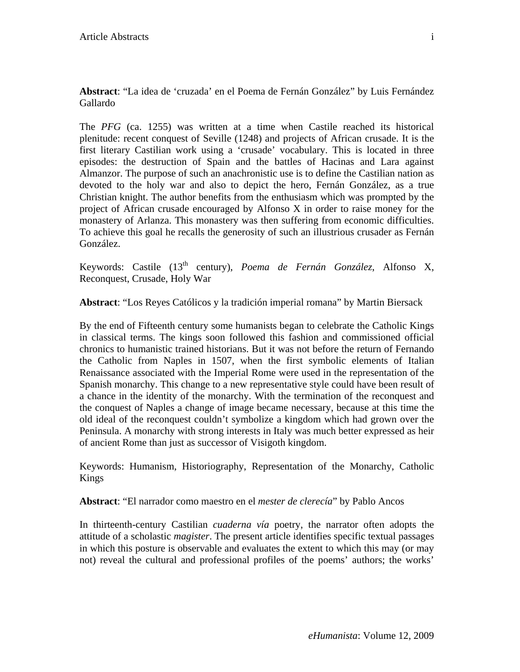**Abstract**: "La idea de 'cruzada' en el Poema de Fernán González" by Luis Fernández Gallardo

The *PFG* (ca. 1255) was written at a time when Castile reached its historical plenitude: recent conquest of Seville (1248) and projects of African crusade. It is the first literary Castilian work using a 'crusade' vocabulary. This is located in three episodes: the destruction of Spain and the battles of Hacinas and Lara against Almanzor. The purpose of such an anachronistic use is to define the Castilian nation as devoted to the holy war and also to depict the hero, Fernán González, as a true Christian knight. The author benefits from the enthusiasm which was prompted by the project of African crusade encouraged by Alfonso X in order to raise money for the monastery of Arlanza. This monastery was then suffering from economic difficulties. To achieve this goal he recalls the generosity of such an illustrious crusader as Fernán González.

Keywords: Castile (13<sup>th</sup> century), *Poema de Fernán González*, Alfonso X, Reconquest, Crusade, Holy War

**Abstract**: "Los Reyes Católicos y la tradición imperial romana" by Martin Biersack

By the end of Fifteenth century some humanists began to celebrate the Catholic Kings in classical terms. The kings soon followed this fashion and commissioned official chronics to humanistic trained historians. But it was not before the return of Fernando the Catholic from Naples in 1507, when the first symbolic elements of Italian Renaissance associated with the Imperial Rome were used in the representation of the Spanish monarchy. This change to a new representative style could have been result of a chance in the identity of the monarchy. With the termination of the reconquest and the conquest of Naples a change of image became necessary, because at this time the old ideal of the reconquest couldn't symbolize a kingdom which had grown over the Peninsula. A monarchy with strong interests in Italy was much better expressed as heir of ancient Rome than just as successor of Visigoth kingdom.

Keywords: Humanism, Historiography, Representation of the Monarchy, Catholic Kings

**Abstract**: "El narrador como maestro en el *mester de clerecía*" by Pablo Ancos

In thirteenth-century Castilian *cuaderna vía* poetry, the narrator often adopts the attitude of a scholastic *magister*. The present article identifies specific textual passages in which this posture is observable and evaluates the extent to which this may (or may not) reveal the cultural and professional profiles of the poems' authors; the works'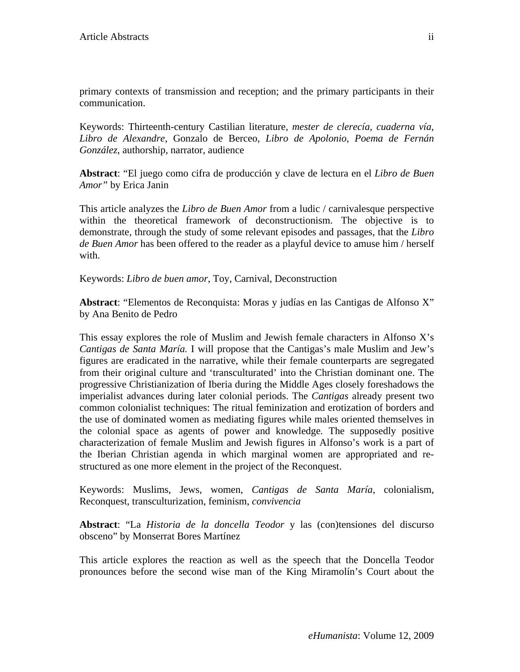primary contexts of transmission and reception; and the primary participants in their communication.

Keywords: Thirteenth-century Castilian literature, *mester de clerecía*, *cuaderna vía*, *Libro de Alexandre*, Gonzalo de Berceo, *Libro de Apolonio*, *Poema de Fernán González*, authorship, narrator, audience

**Abstract**: "El juego como cifra de producción y clave de lectura en el *Libro de Buen Amor"* by Erica Janin

This article analyzes the *Libro de Buen Amor* from a ludic / carnivalesque perspective within the theoretical framework of deconstructionism. The objective is to demonstrate, through the study of some relevant episodes and passages, that the *Libro de Buen Amor* has been offered to the reader as a playful device to amuse him / herself with.

Keywords: *Libro de buen amor*, Toy, Carnival, Deconstruction

**Abstract**: "Elementos de Reconquista: Moras y judías en las Cantigas de Alfonso X" by Ana Benito de Pedro

This essay explores the role of Muslim and Jewish female characters in Alfonso X's *Cantigas de Santa María.* I will propose that the Cantigas's male Muslim and Jew's figures are eradicated in the narrative, while their female counterparts are segregated from their original culture and 'transculturated' into the Christian dominant one. The progressive Christianization of Iberia during the Middle Ages closely foreshadows the imperialist advances during later colonial periods. The *Cantigas* already present two common colonialist techniques: The ritual feminization and erotization of borders and the use of dominated women as mediating figures while males oriented themselves in the colonial space as agents of power and knowledge*.* The supposedly positive characterization of female Muslim and Jewish figures in Alfonso's work is a part of the Iberian Christian agenda in which marginal women are appropriated and restructured as one more element in the project of the Reconquest.

Keywords: Muslims, Jews, women, *Cantigas de Santa María*, colonialism, Reconquest, transculturization, feminism, *convivencia* 

**Abstract**: "La *Historia de la doncella Teodor* y las (con)tensiones del discurso obsceno" by Monserrat Bores Martínez

This article explores the reaction as well as the speech that the Doncella Teodor pronounces before the second wise man of the King Miramolín's Court about the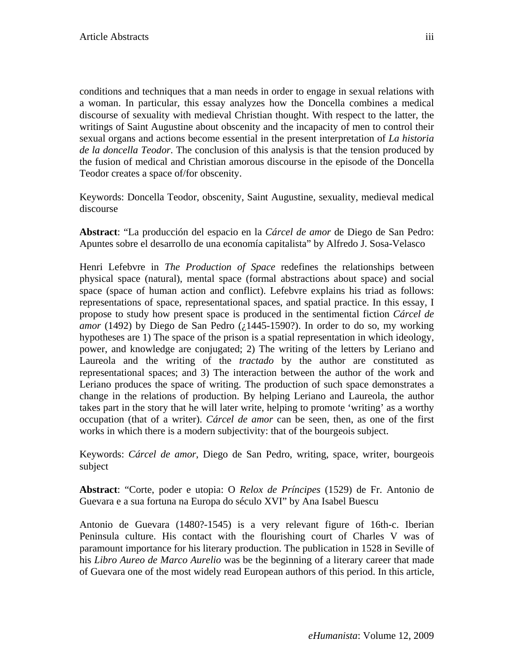conditions and techniques that a man needs in order to engage in sexual relations with a woman. In particular, this essay analyzes how the Doncella combines a medical discourse of sexuality with medieval Christian thought. With respect to the latter, the writings of Saint Augustine about obscenity and the incapacity of men to control their sexual organs and actions become essential in the present interpretation of *La historia de la doncella Teodor*. The conclusion of this analysis is that the tension produced by the fusion of medical and Christian amorous discourse in the episode of the Doncella Teodor creates a space of/for obscenity.

Keywords: Doncella Teodor, obscenity, Saint Augustine, sexuality, medieval medical discourse

**Abstract**: "La producción del espacio en la *Cárcel de amor* de Diego de San Pedro: Apuntes sobre el desarrollo de una economía capitalista" by Alfredo J. Sosa-Velasco

Henri Lefebvre in *The Production of Space* redefines the relationships between physical space (natural), mental space (formal abstractions about space) and social space (space of human action and conflict). Lefebvre explains his triad as follows: representations of space, representational spaces, and spatial practice. In this essay, I propose to study how present space is produced in the sentimental fiction *Cárcel de amor* (1492) by Diego de San Pedro ( $\chi$ 1445-1590?). In order to do so, my working hypotheses are 1) The space of the prison is a spatial representation in which ideology, power, and knowledge are conjugated; 2) The writing of the letters by Leriano and Laureola and the writing of the *tractado* by the author are constituted as representational spaces; and 3) The interaction between the author of the work and Leriano produces the space of writing. The production of such space demonstrates a change in the relations of production. By helping Leriano and Laureola, the author takes part in the story that he will later write, helping to promote 'writing' as a worthy occupation (that of a writer). *Cárcel de amor* can be seen, then, as one of the first works in which there is a modern subjectivity: that of the bourgeois subject.

Keywords: *Cárcel de amor*, Diego de San Pedro, writing, space, writer, bourgeois subject

**Abstract**: "Corte, poder e utopia: O *Relox de Príncipes* (1529) de Fr. Antonio de Guevara e a sua fortuna na Europa do século XVI" by Ana Isabel Buescu

Antonio de Guevara (1480?-1545) is a very relevant figure of 16th-c. Iberian Peninsula culture. His contact with the flourishing court of Charles V was of paramount importance for his literary production. The publication in 1528 in Seville of his *Libro Aureo de Marco Aurelio* was be the beginning of a literary career that made of Guevara one of the most widely read European authors of this period. In this article,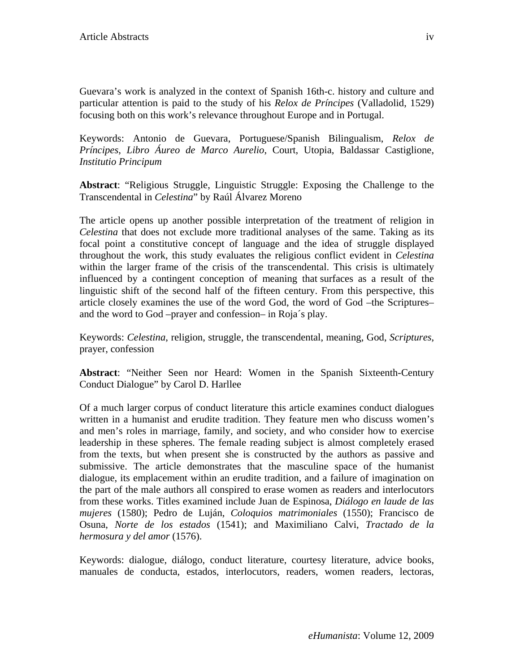Guevara's work is analyzed in the context of Spanish 16th-c. history and culture and particular attention is paid to the study of his *Relox de Príncipes* (Valladolid, 1529) focusing both on this work's relevance throughout Europe and in Portugal.

Keywords: Antonio de Guevara, Portuguese/Spanish Bilingualism, *Relox de Príncipes*, *Libro Áureo de Marco Aurelio*, Court, Utopia, Baldassar Castiglione, *Institutio Principum* 

**Abstract**: "Religious Struggle, Linguistic Struggle: Exposing the Challenge to the Transcendental in *Celestina*" by Raúl Álvarez Moreno

The article opens up another possible interpretation of the treatment of religion in *Celestina* that does not exclude more traditional analyses of the same. Taking as its focal point a constitutive concept of language and the idea of struggle displayed throughout the work, this study evaluates the religious conflict evident in *Celestina*  within the larger frame of the crisis of the transcendental. This crisis is ultimately influenced by a contingent conception of meaning that surfaces as a result of the linguistic shift of the second half of the fifteen century. From this perspective, this article closely examines the use of the word God, the word of God –the Scriptures– and the word to God –prayer and confession– in Roja´s play.

Keywords: *Celestina*, religion, struggle, the transcendental, meaning, God, *Scriptures*, prayer, confession

**Abstract**: "Neither Seen nor Heard: Women in the Spanish Sixteenth-Century Conduct Dialogue" by Carol D. Harllee

Of a much larger corpus of conduct literature this article examines conduct dialogues written in a humanist and erudite tradition. They feature men who discuss women's and men's roles in marriage, family, and society, and who consider how to exercise leadership in these spheres. The female reading subject is almost completely erased from the texts, but when present she is constructed by the authors as passive and submissive. The article demonstrates that the masculine space of the humanist dialogue, its emplacement within an erudite tradition, and a failure of imagination on the part of the male authors all conspired to erase women as readers and interlocutors from these works. Titles examined include Juan de Espinosa, *Diálogo en laude de las mujeres* (1580); Pedro de Luján, *Coloquios matrimoniales* (1550); Francisco de Osuna, *Norte de los estados* (1541); and Maximiliano Calvi, *Tractado de la hermosura y del amor* (1576).

Keywords: dialogue, diálogo, conduct literature, courtesy literature, advice books, manuales de conducta, estados, interlocutors, readers, women readers, lectoras,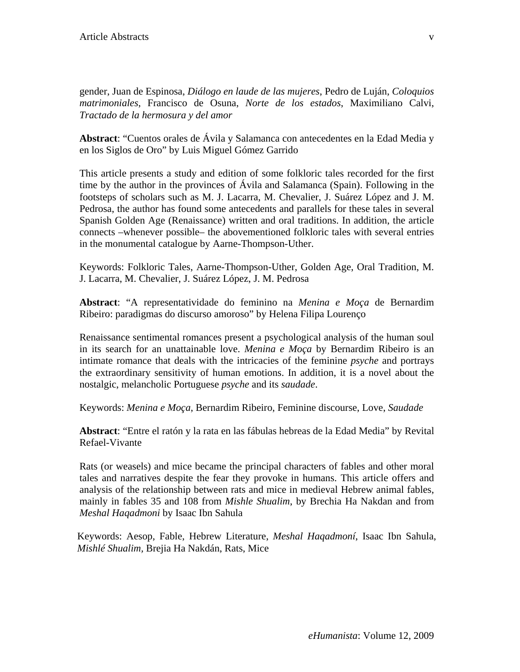gender, Juan de Espinosa, *Diálogo en laude de las mujeres*, Pedro de Luján, *Coloquios matrimoniales*, Francisco de Osuna, *Norte de los estados*, Maximiliano Calvi, *Tractado de la hermosura y del amor*

**Abstract**: "Cuentos orales de Ávila y Salamanca con antecedentes en la Edad Media y en los Siglos de Oro" by Luis Miguel Gómez Garrido

This article presents a study and edition of some folkloric tales recorded for the first time by the author in the provinces of Ávila and Salamanca (Spain). Following in the footsteps of scholars such as M. J. Lacarra, M. Chevalier, J. Suárez López and J. M. Pedrosa, the author has found some antecedents and parallels for these tales in several Spanish Golden Age (Renaissance) written and oral traditions. In addition, the article connects –whenever possible– the abovementioned folkloric tales with several entries in the monumental catalogue by Aarne-Thompson-Uther.

Keywords: Folkloric Tales, Aarne-Thompson-Uther, Golden Age, Oral Tradition, M. J. Lacarra, M. Chevalier, J. Suárez López, J. M. Pedrosa

**Abstract**: "A representatividade do feminino na *Menina e Moça* de Bernardim Ribeiro: paradigmas do discurso amoroso" by Helena Filipa Lourenço

Renaissance sentimental romances present a psychological analysis of the human soul in its search for an unattainable love. *Menina e Moça* by Bernardim Ribeiro is an intimate romance that deals with the intricacies of the feminine *psyche* and portrays the extraordinary sensitivity of human emotions. In addition, it is a novel about the nostalgic, melancholic Portuguese *psyche* and its *saudade*.

Keywords: *Menina e Moça*, Bernardim Ribeiro, Feminine discourse, Love, *Saudade* 

**Abstract**: "Entre el ratón y la rata en las fábulas hebreas de la Edad Media" by Revital Refael-Vivante

Rats (or weasels) and mice became the principal characters of fables and other moral tales and narratives despite the fear they provoke in humans. This article offers and analysis of the relationship between rats and mice in medieval Hebrew animal fables, mainly in fables 35 and 108 from *Mishle Shualim*, by Brechia Ha Nakdan and from *Meshal Haqadmoni* by Isaac Ibn Sahula

Keywords: Aesop, Fable, Hebrew Literature, *Meshal Haqadmoní*, Isaac Ibn Sahula, *Mishlé Shualim,* Brejia Ha Nakdán, Rats, Mice